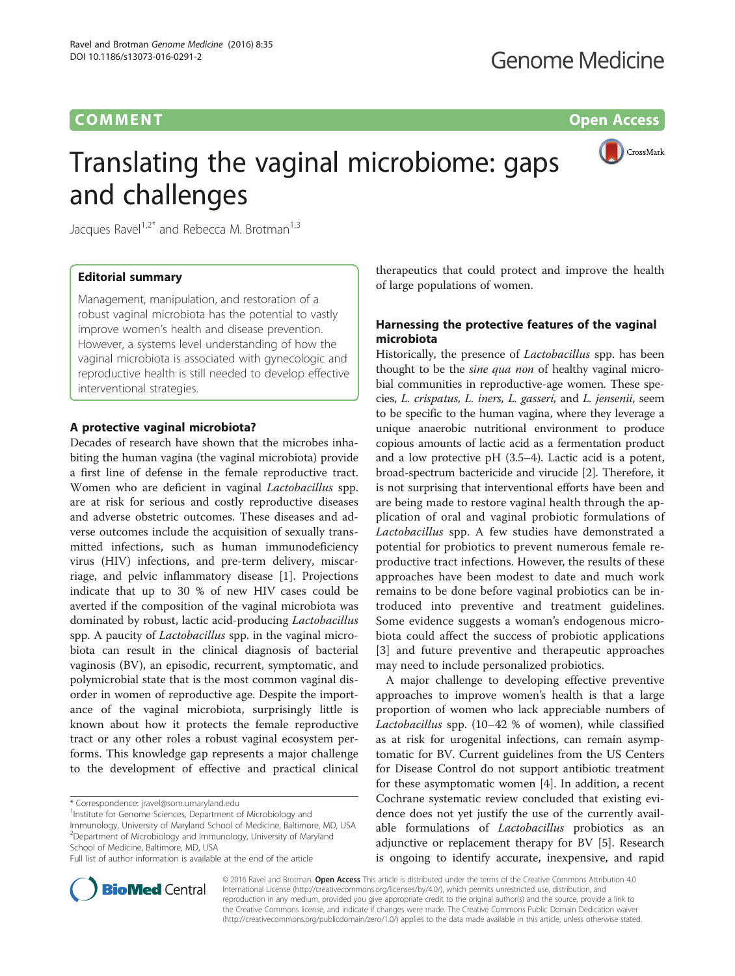# **COMMENT COMMENT COMMENT**

CrossMark

# Translating the vaginal microbiome: gaps and challenges

Jacques Ravel<sup>1,2\*</sup> and Rebecca M. Brotman<sup>1,3</sup>

# Editorial summary

Management, manipulation, and restoration of a robust vaginal microbiota has the potential to vastly improve women's health and disease prevention. However, a systems level understanding of how the vaginal microbiota is associated with gynecologic and reproductive health is still needed to develop effective interventional strategies.

## A protective vaginal microbiota?

Decades of research have shown that the microbes inhabiting the human vagina (the vaginal microbiota) provide a first line of defense in the female reproductive tract. Women who are deficient in vaginal Lactobacillus spp. are at risk for serious and costly reproductive diseases and adverse obstetric outcomes. These diseases and adverse outcomes include the acquisition of sexually transmitted infections, such as human immunodeficiency virus (HIV) infections, and pre-term delivery, miscarriage, and pelvic inflammatory disease [\[1](#page-2-0)]. Projections indicate that up to 30 % of new HIV cases could be averted if the composition of the vaginal microbiota was dominated by robust, lactic acid-producing Lactobacillus spp. A paucity of *Lactobacillus* spp. in the vaginal microbiota can result in the clinical diagnosis of bacterial vaginosis (BV), an episodic, recurrent, symptomatic, and polymicrobial state that is the most common vaginal disorder in women of reproductive age. Despite the importance of the vaginal microbiota, surprisingly little is known about how it protects the female reproductive tract or any other roles a robust vaginal ecosystem performs. This knowledge gap represents a major challenge to the development of effective and practical clinical

<sup>1</sup> Institute for Genome Sciences, Department of Microbiology and Immunology, University of Maryland School of Medicine, Baltimore, MD, USA <sup>2</sup>Department of Microbiology and Immunology, University of Maryland School of Medicine, Baltimore, MD, USA

Full list of author information is available at the end of the article

therapeutics that could protect and improve the health of large populations of women.

# Harnessing the protective features of the vaginal microbiota

Historically, the presence of Lactobacillus spp. has been thought to be the *sine qua non* of healthy vaginal microbial communities in reproductive-age women. These species, L. crispatus, L. iners, L. gasseri, and L. jensenii, seem to be specific to the human vagina, where they leverage a unique anaerobic nutritional environment to produce copious amounts of lactic acid as a fermentation product and a low protective pH (3.5–4). Lactic acid is a potent, broad-spectrum bactericide and virucide [[2\]](#page-2-0). Therefore, it is not surprising that interventional efforts have been and are being made to restore vaginal health through the application of oral and vaginal probiotic formulations of Lactobacillus spp. A few studies have demonstrated a potential for probiotics to prevent numerous female reproductive tract infections. However, the results of these approaches have been modest to date and much work remains to be done before vaginal probiotics can be introduced into preventive and treatment guidelines. Some evidence suggests a woman's endogenous microbiota could affect the success of probiotic applications [[3\]](#page-2-0) and future preventive and therapeutic approaches may need to include personalized probiotics.

A major challenge to developing effective preventive approaches to improve women's health is that a large proportion of women who lack appreciable numbers of Lactobacillus spp. (10–42 % of women), while classified as at risk for urogenital infections, can remain asymptomatic for BV. Current guidelines from the US Centers for Disease Control do not support antibiotic treatment for these asymptomatic women [[4\]](#page-2-0). In addition, a recent Cochrane systematic review concluded that existing evidence does not yet justify the use of the currently available formulations of *Lactobacillus* probiotics as an adjunctive or replacement therapy for BV [[5\]](#page-2-0). Research is ongoing to identify accurate, inexpensive, and rapid



© 2016 Ravel and Brotman. Open Access This article is distributed under the terms of the Creative Commons Attribution 4.0 International License [\(http://creativecommons.org/licenses/by/4.0/](http://creativecommons.org/licenses/by/4.0/)), which permits unrestricted use, distribution, and reproduction in any medium, provided you give appropriate credit to the original author(s) and the source, provide a link to the Creative Commons license, and indicate if changes were made. The Creative Commons Public Domain Dedication waiver [\(http://creativecommons.org/publicdomain/zero/1.0/](http://creativecommons.org/publicdomain/zero/1.0/)) applies to the data made available in this article, unless otherwise stated.

<sup>\*</sup> Correspondence: [jravel@som.umaryland.edu](mailto:jravel@som.umaryland.edu) <sup>1</sup>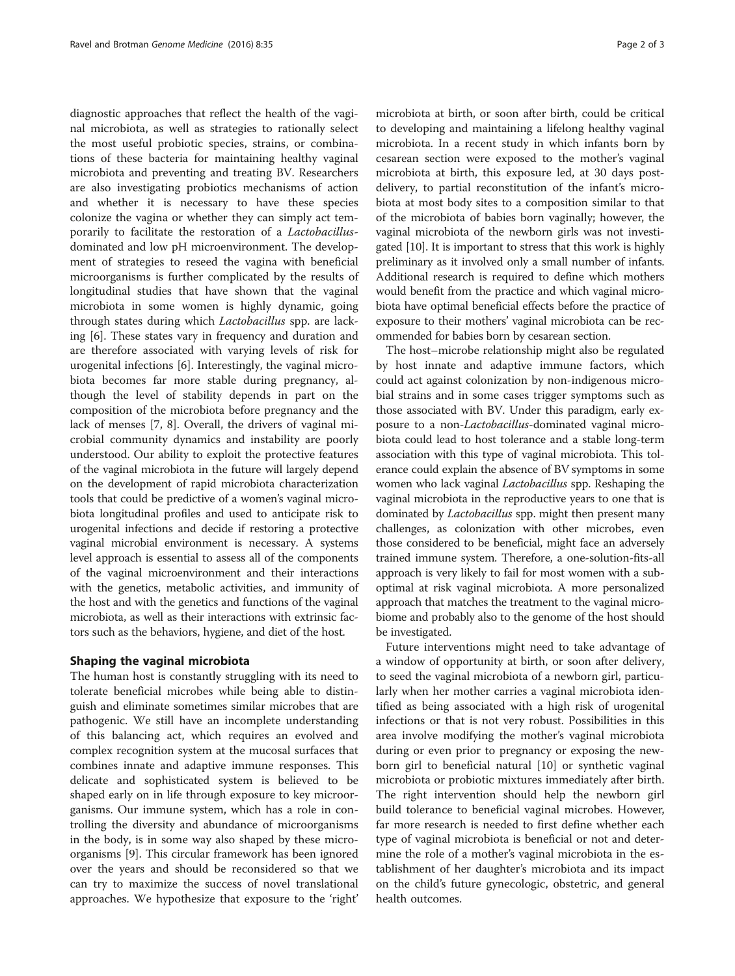diagnostic approaches that reflect the health of the vaginal microbiota, as well as strategies to rationally select the most useful probiotic species, strains, or combinations of these bacteria for maintaining healthy vaginal microbiota and preventing and treating BV. Researchers are also investigating probiotics mechanisms of action and whether it is necessary to have these species colonize the vagina or whether they can simply act temporarily to facilitate the restoration of a Lactobacillusdominated and low pH microenvironment. The development of strategies to reseed the vagina with beneficial microorganisms is further complicated by the results of longitudinal studies that have shown that the vaginal microbiota in some women is highly dynamic, going through states during which Lactobacillus spp. are lacking [[6\]](#page-2-0). These states vary in frequency and duration and are therefore associated with varying levels of risk for urogenital infections [[6\]](#page-2-0). Interestingly, the vaginal microbiota becomes far more stable during pregnancy, although the level of stability depends in part on the composition of the microbiota before pregnancy and the lack of menses [[7, 8](#page-2-0)]. Overall, the drivers of vaginal microbial community dynamics and instability are poorly understood. Our ability to exploit the protective features of the vaginal microbiota in the future will largely depend on the development of rapid microbiota characterization tools that could be predictive of a women's vaginal microbiota longitudinal profiles and used to anticipate risk to urogenital infections and decide if restoring a protective vaginal microbial environment is necessary. A systems level approach is essential to assess all of the components of the vaginal microenvironment and their interactions with the genetics, metabolic activities, and immunity of the host and with the genetics and functions of the vaginal microbiota, as well as their interactions with extrinsic factors such as the behaviors, hygiene, and diet of the host.

## Shaping the vaginal microbiota

The human host is constantly struggling with its need to tolerate beneficial microbes while being able to distinguish and eliminate sometimes similar microbes that are pathogenic. We still have an incomplete understanding of this balancing act, which requires an evolved and complex recognition system at the mucosal surfaces that combines innate and adaptive immune responses. This delicate and sophisticated system is believed to be shaped early on in life through exposure to key microorganisms. Our immune system, which has a role in controlling the diversity and abundance of microorganisms in the body, is in some way also shaped by these microorganisms [[9](#page-2-0)]. This circular framework has been ignored over the years and should be reconsidered so that we can try to maximize the success of novel translational approaches. We hypothesize that exposure to the 'right'

microbiota at birth, or soon after birth, could be critical to developing and maintaining a lifelong healthy vaginal microbiota. In a recent study in which infants born by cesarean section were exposed to the mother's vaginal microbiota at birth, this exposure led, at 30 days postdelivery, to partial reconstitution of the infant's microbiota at most body sites to a composition similar to that of the microbiota of babies born vaginally; however, the vaginal microbiota of the newborn girls was not investigated [\[10\]](#page-2-0). It is important to stress that this work is highly preliminary as it involved only a small number of infants. Additional research is required to define which mothers would benefit from the practice and which vaginal microbiota have optimal beneficial effects before the practice of exposure to their mothers' vaginal microbiota can be recommended for babies born by cesarean section.

The host–microbe relationship might also be regulated by host innate and adaptive immune factors, which could act against colonization by non-indigenous microbial strains and in some cases trigger symptoms such as those associated with BV. Under this paradigm, early exposure to a non-Lactobacillus-dominated vaginal microbiota could lead to host tolerance and a stable long-term association with this type of vaginal microbiota. This tolerance could explain the absence of BV symptoms in some women who lack vaginal Lactobacillus spp. Reshaping the vaginal microbiota in the reproductive years to one that is dominated by *Lactobacillus* spp. might then present many challenges, as colonization with other microbes, even those considered to be beneficial, might face an adversely trained immune system. Therefore, a one-solution-fits-all approach is very likely to fail for most women with a suboptimal at risk vaginal microbiota. A more personalized approach that matches the treatment to the vaginal microbiome and probably also to the genome of the host should be investigated.

Future interventions might need to take advantage of a window of opportunity at birth, or soon after delivery, to seed the vaginal microbiota of a newborn girl, particularly when her mother carries a vaginal microbiota identified as being associated with a high risk of urogenital infections or that is not very robust. Possibilities in this area involve modifying the mother's vaginal microbiota during or even prior to pregnancy or exposing the newborn girl to beneficial natural [\[10](#page-2-0)] or synthetic vaginal microbiota or probiotic mixtures immediately after birth. The right intervention should help the newborn girl build tolerance to beneficial vaginal microbes. However, far more research is needed to first define whether each type of vaginal microbiota is beneficial or not and determine the role of a mother's vaginal microbiota in the establishment of her daughter's microbiota and its impact on the child's future gynecologic, obstetric, and general health outcomes.